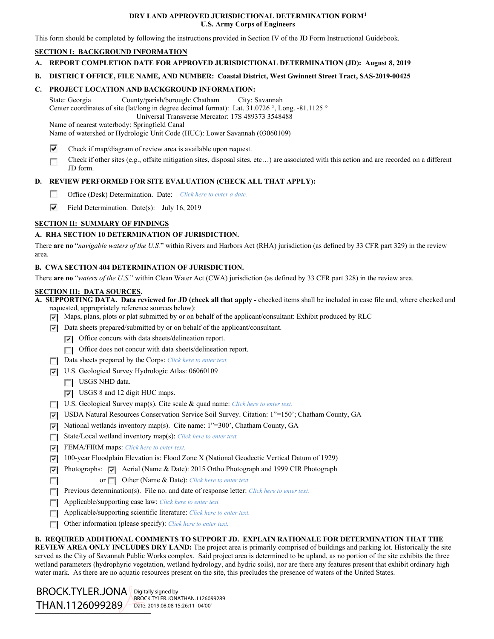### **DRY LAND APPROVED JURISDICTIONAL DETERMINATION FORM[1](#page-0-0) U.S. Army Corps of Engineers**

This form should be completed by following the instructions provided in Section IV of the JD Form Instructional Guidebook.

## **SECTION I: BACKGROUND INFORMATION**

**A. REPORT COMPLETION DATE FOR APPROVED JURISDICTIONAL DETERMINATION (JD): August 8, 2019**

### **B. DISTRICT OFFICE, FILE NAME, AND NUMBER: Coastal District, West Gwinnett Street Tract, SAS-2019-00425**

## **C. PROJECT LOCATION AND BACKGROUND INFORMATION:**

State: Georgia County/parish/borough: Chatham City: Savannah Center coordinates of site (lat/long in degree decimal format): Lat. 31.0726 °, Long. -81.1125 ° Universal Transverse Mercator: 17S 489373 3548488

Name of nearest waterbody: Springfield Canal

Name of watershed or Hydrologic Unit Code (HUC): Lower Savannah (03060109)

- ⊽ Check if map/diagram of review area is available upon request.
- Check if other sites (e.g., offsite mitigation sites, disposal sites, etc…) are associated with this action and are recorded on a different Е JD form.

# **D. REVIEW PERFORMED FOR SITE EVALUATION (CHECK ALL THAT APPLY):**

- $\sim$ Office (Desk) Determination. Date: *Click here to enter a date.*
- ⊽ Field Determination. Date(s): July 16, 2019

## **SECTION II: SUMMARY OF FINDINGS**

## **A. RHA SECTION 10 DETERMINATION OF JURISDICTION.**

There **are no** "*navigable waters of the U.S.*" within Rivers and Harbors Act (RHA) jurisdiction (as defined by 33 CFR part 329) in the review area.

## **B. CWA SECTION 404 DETERMINATION OF JURISDICTION.**

There **are no** "*waters of the U.S.*" within Clean Water Act (CWA) jurisdiction (as defined by 33 CFR part 328) in the review area.

#### **SECTION III: DATA SOURCES.**

**A. SUPPORTING DATA. Data reviewed for JD (check all that apply -** checked items shall be included in case file and, where checked and requested, appropriately reference sources below):

 $\nabla$  Maps, plans, plots or plat submitted by or on behalf of the applicant/consultant: Exhibit produced by RLC

- $\nabla$  Data sheets prepared/submitted by or on behalf of the applicant/consultant.
	- $\nabla$  Office concurs with data sheets/delineation report.
	- Office does not concur with data sheets/delineation report.
- Data sheets prepared by the Corps: *Click here to enter text.*
- U.S. Geological Survey Hydrologic Atlas: 06060109
	- USGS NHD data.
	- USGS 8 and 12 digit HUC maps.
- U.S. Geological Survey map(s). Cite scale & quad name: *Click here to enter text.*
- USDA Natural Resources Conservation Service Soil Survey. Citation: 1"=150'; Chatham County, GA
- $\nabla$  National wetlands inventory map(s). Cite name: 1"=300', Chatham County, GA
- State/Local wetland inventory map(s): *Click here to enter text.*
- FEMA/FIRM maps: *Click here to enter text.*
- 100-year Floodplain Elevation is: Flood Zone X (National Geodectic Vertical Datum of 1929)
- Photographs: Aerial (Name & Date): 2015 Ortho Photograph and 1999 CIR Photograph
- or **Other (Name & Date):** *Click here to enter text.* **T**
- **Previous determination(s).** File no. and date of response letter: *Click here to enter text.*
- Applicable/supporting case law: *Click here to enter text.*
- Applicable/supporting scientific literature: *Click here to enter text.*
- Other information (please specify): *Click here to enter text.*

### **B. REQUIRED ADDITIONAL COMMENTS TO SUPPORT JD. EXPLAIN RATIONALE FOR DETERMINATION THAT THE**

**REVIEW AREA ONLY INCLUDES DRY LAND:** The project area is primarily comprised of buildings and parking lot. Historically the site served as the City of Savannah Public Works complex. Said project area is determined to be upland, as no portion of the site exhibits the three wetland parameters (hydrophyric vegetation, wetland hydrology, and hydric soils), nor are there any features present that exhibit ordinary high water mark. As there are no aquatic resources present on the site, this precludes the presence of waters of the United States.

<span id="page-0-0"></span>BROCK.TYLER.JONA<br>THAN.1126099289 THAN.1126099289 BROCK.TYLER.JONA | Digitally signed by BROCK.TYLER.JONATHAN.1126099289 Date: 2019.08.08 15:26:11 -04'00'